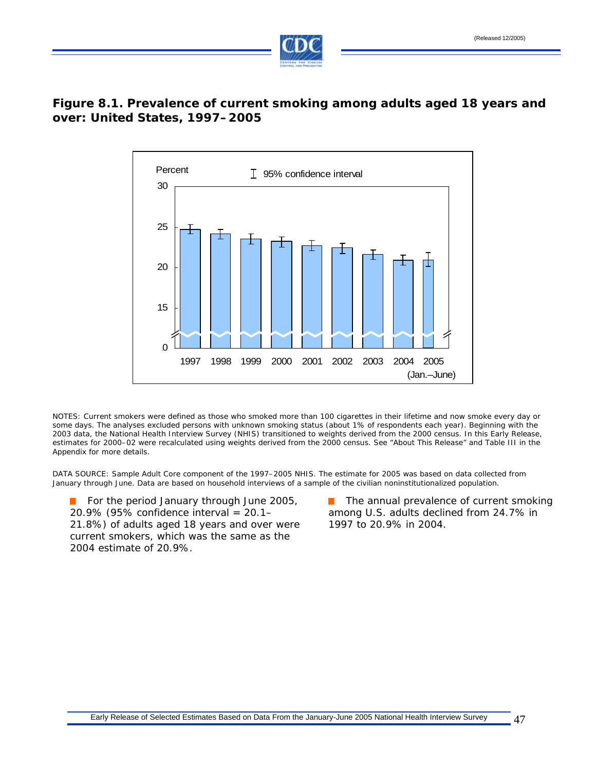

## **Figure 8.1. Prevalence of current smoking among adults aged 18 years and over: United States, 1997–2005**



NOTES: Current smokers were defined as those who smoked more than 100 cigarettes in their lifetime and now smoke every day or some days. The analyses excluded persons with unknown smoking status (about 1% of respondents each year). Beginning with the 2003 data, the National Health Interview Survey (NHIS) transitioned to weights derived from the 2000 census. In this Early Release, estimates for 2000–02 were recalculated using weights derived from the 2000 census. See "About This Release" and Table III in the Appendix for more details.

DATA SOURCE: Sample Adult Core component of the 1997–2005 NHIS. The estimate for 2005 was based on data collected from January through June. Data are based on household interviews of a sample of the civilian noninstitutionalized population.

**Contract** 20.9% (95% confidence interval = 20.1– among U.S. adults declined from 24.7% in 21.8%) of adults aged 18 years and over were 1997 to 20.9% in 2004. current smokers, which was the same as the 2004 estimate of 20.9%.

For the period January through June 2005, The annual prevalence of current smoking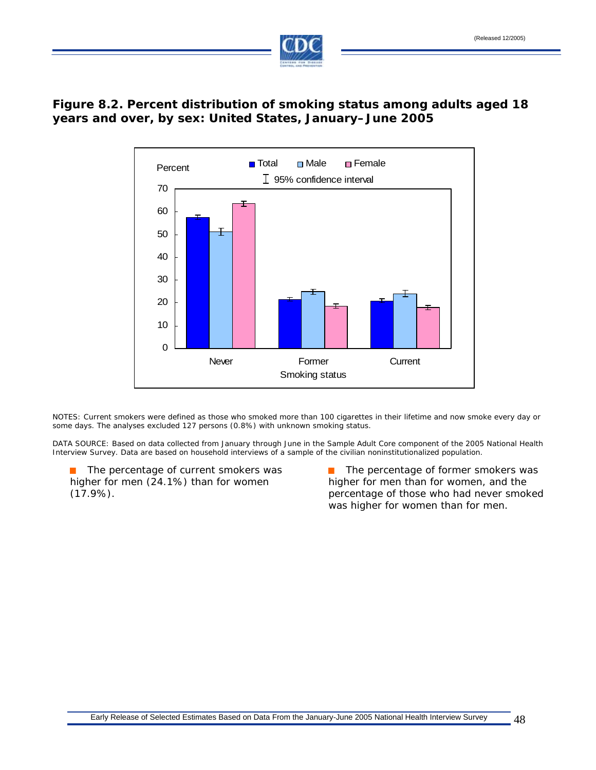

# **Figure 8.2. Percent distribution of smoking status among adults aged 18 years and over, by sex: United States, January–June 2005**



NOTES: Current smokers were defined as those who smoked more than 100 cigarettes in their lifetime and now smoke every day or some days. The analyses excluded 127 persons (0.8%) with unknown smoking status.

DATA SOURCE: Based on data collected from January through June in the Sample Adult Core component of the 2005 National Health Interview Survey. Data are based on household interviews of a sample of the civilian noninstitutionalized population.

 $\mathcal{L}_{\text{max}}$ higher for men (24.1%) than for women higher for men than for women, and the

The percentage of current smokers was  $\blacksquare$  The percentage of former smokers was (17.9%). percentage of those who had never smoked was higher for women than for men.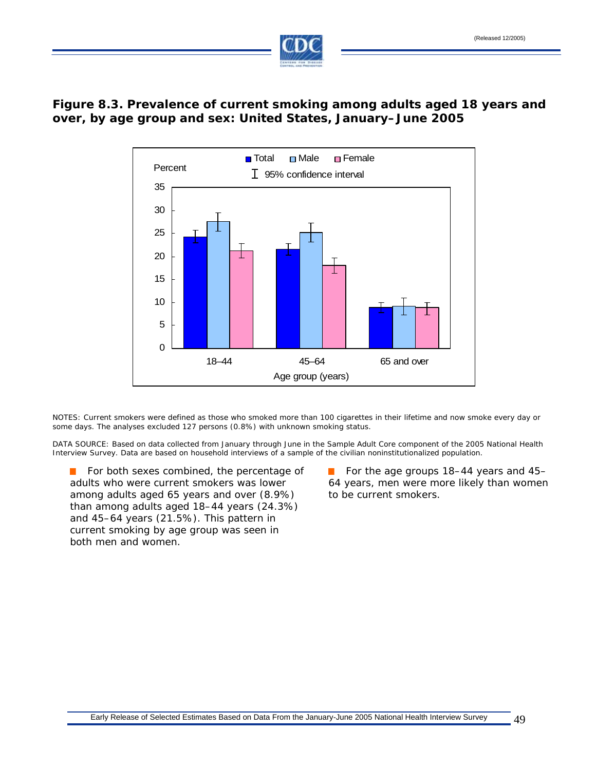

## **Figure 8.3. Prevalence of current smoking among adults aged 18 years and over, by age group and sex: United States, January–June 2005**



NOTES: Current smokers were defined as those who smoked more than 100 cigarettes in their lifetime and now smoke every day or some days. The analyses excluded 127 persons (0.8%) with unknown smoking status.

DATA SOURCE: Based on data collected from January through June in the Sample Adult Core component of the 2005 National Health Interview Survey. Data are based on household interviews of a sample of the civilian noninstitutionalized population.

adults who were current smokers was lower 64 years, men were more likely than women among adults aged 65 years and over (8.9%) to be current smokers. than among adults aged 18–44 years (24.3%) and 45–64 years (21.5%). This pattern in current smoking by age group was seen in both men and women.

For both sexes combined, the percentage of  $\Box$  For the age groups 18–44 years and 45–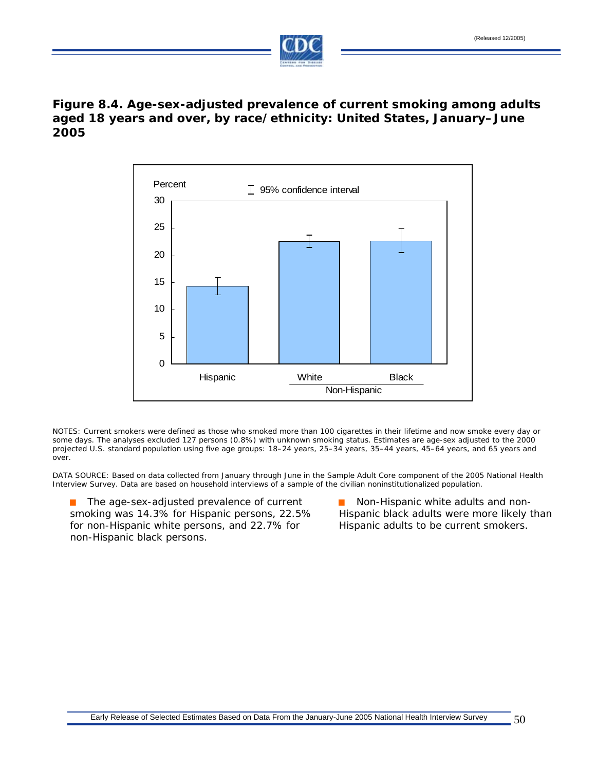

### **2005 Figure 8.4. Age-sex-adjusted prevalence of current smoking among adults aged 18 years and over, by race/ethnicity: United States, January–June**



NOTES: Current smokers were defined as those who smoked more than 100 cigarettes in their lifetime and now smoke every day or some days. The analyses excluded 127 persons (0.8%) with unknown smoking status. Estimates are age-sex adjusted to the 2000 projected U.S. standard population using five age groups: 18–24 years, 25–34 years, 35–44 years, 45–64 years, and 65 years and over.

DATA SOURCE: Based on data collected from January through June in the Sample Adult Core component of the 2005 National Health Interview Survey. Data are based on household interviews of a sample of the civilian noninstitutionalized population.

The age-sex-adjusted prevalence of current Non-Hispanic white adults and non- $\mathcal{L}_{\mathcal{A}}$ smoking was 14.3% for Hispanic persons, 22.5% Hispanic black adults were more likely than for non-Hispanic white persons, and 22.7% for Hispanic adults to be current smokers. non-Hispanic black persons.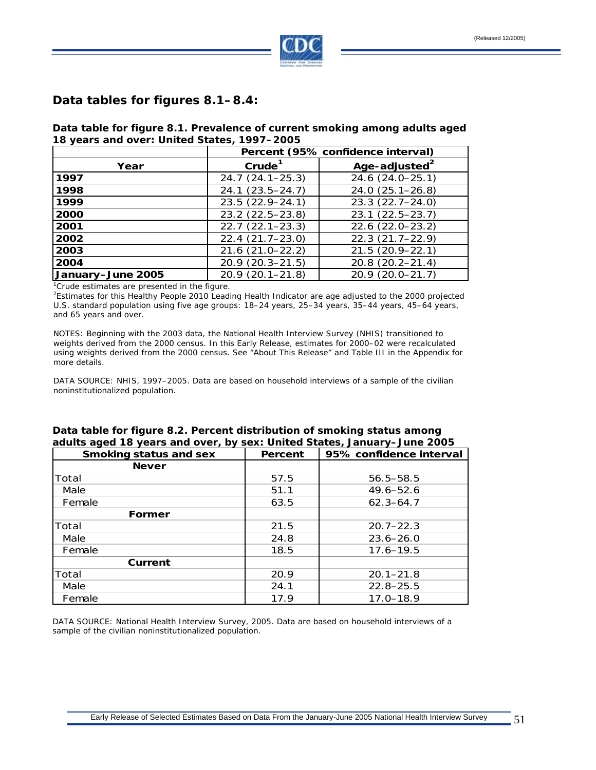

#### **Data tables for figures 8.1–8.4:**

**Data table for figure 8.1. Prevalence of current smoking among adults aged 18 years and over: United States, 1997–2005** 

|                                                      | Percent (95% confidence interval) |                           |  |  |
|------------------------------------------------------|-----------------------------------|---------------------------|--|--|
| Year                                                 | Crude <sup>1</sup>                | Age-adjusted <sup>2</sup> |  |  |
| 1997                                                 | $24.7(24.1 - 25.3)$               | 24.6 (24.0-25.1)          |  |  |
| 1998                                                 | $24.1(23.5 - 24.7)$               | $24.0(25.1 - 26.8)$       |  |  |
| 1999                                                 | 23.5 (22.9-24.1)                  | $23.3(22.7 - 24.0)$       |  |  |
| 2000                                                 | 23.2 (22.5-23.8)                  | $23.1(22.5-23.7)$         |  |  |
| 2001                                                 | $22.7(22.1 - 23.3)$               | $22.6(22.0-23.2)$         |  |  |
| 2002                                                 | $22.4(21.7-23.0)$                 | $22.3(21.7-22.9)$         |  |  |
| 2003                                                 | $21.6(21.0 - 22.2)$               | $21.5(20.9 - 22.1)$       |  |  |
| 2004                                                 | $20.9(20.3 - 21.5)$               | $20.8(20.2 - 21.4)$       |  |  |
| January-June 2005                                    | $20.9(20.1 - 21.8)$               | 20.9 (20.0-21.7)          |  |  |
| ${}^{1}$ Crudo octimatos are presented in the figure |                                   |                           |  |  |

 $^{1}$ Crude estimates are presented in the figure.<br><sup>2</sup>Estimates for this Healthy Reaple 2010 Leadi

<sup>2</sup>Estimates for this Healthy People 2010 Leading Health Indicator are age adjusted to the 2000 projected U.S. standard population using five age groups: 18–24 years, 25–34 years, 35–44 years, 45–64 years, and 65 years and over.

NOTES: Beginning with the 2003 data, the National Health Interview Survey (NHIS) transitioned to weights derived from the 2000 census. In this Early Release, estimates for 2000–02 were recalculated using weights derived from the 2000 census. See "About This Release" and Table III in the Appendix for more details.

DATA SOURCE: NHIS, 1997–2005. Data are based on household interviews of a sample of the civilian noninstitutionalized population.

| adults aged 18 years and over, by sex: United States, January–June 2005 |         |                         |  |  |
|-------------------------------------------------------------------------|---------|-------------------------|--|--|
| Smoking status and sex                                                  | Percent | 95% confidence interval |  |  |
| <b>Never</b>                                                            |         |                         |  |  |
| Total                                                                   | 57.5    | $56.5 - 58.5$           |  |  |
| Male                                                                    | 51.1    | 49.6–52.6               |  |  |
| Female                                                                  | 63.5    | $62.3 - 64.7$           |  |  |
| Former                                                                  |         |                         |  |  |
| Total                                                                   | 21.5    | $20.7 - 22.3$           |  |  |
| Male                                                                    | 24.8    | $23.6 - 26.0$           |  |  |
| Female                                                                  | 18.5    | $17.6 - 19.5$           |  |  |
| Current                                                                 |         |                         |  |  |
| Total                                                                   | 20.9    | $20.1 - 21.8$           |  |  |
| Male                                                                    | 24.1    | $22.8 - 25.5$           |  |  |
| Female                                                                  | 17.9    | $17.0 - 18.9$           |  |  |

#### **Data table for figure 8.2. Percent distribution of smoking status among adults aged 18 years and over, by sex: United States, January–June 2005**

DATA SOURCE: National Health Interview Survey, 2005. Data are based on household interviews of a sample of the civilian noninstitutionalized population.